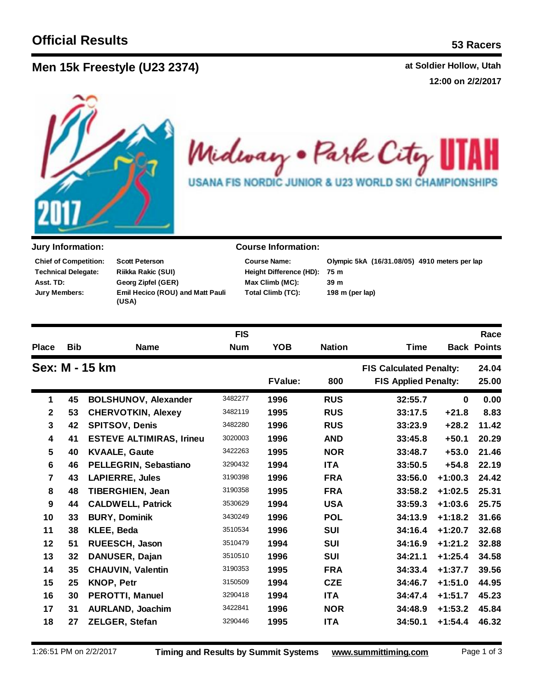**Men 15k F at Soldier Hollow, Utah reestyle (U23 2374)**

**12:00 on 2/2/2017**



Midway . Park City H USANA FIS NORDIC JUNIOR & U23 WORLD SKI CHAMPIONSHIPS

**Scott Peterson Riikka Rakic (SUI) Georg Zipfel (GER) Emil Hecico (ROU) and Matt Pauli (USA) Technical Delegate: Chief of Competition: Asst. TD: Jury Members:**

## **Jury Information: Course Information:**

**Height Difference (HD): Course Name: Total Climb (TC): Max Climb (MC): 39 m**

**75 m Olympic 5kA (16/31.08/05) 4910 meters per lap 198 m (per lap)**

|                         |                |                                 | <b>FIS</b> |                |               |                                |           | Race               |
|-------------------------|----------------|---------------------------------|------------|----------------|---------------|--------------------------------|-----------|--------------------|
| <b>Place</b>            | <b>Bib</b>     | <b>Name</b>                     | <b>Num</b> | <b>YOB</b>     | <b>Nation</b> | <b>Time</b>                    |           | <b>Back Points</b> |
|                         | Sex: M - 15 km |                                 |            |                |               | <b>FIS Calculated Penalty:</b> |           | 24.04              |
|                         |                |                                 |            | <b>FValue:</b> | 800           | <b>FIS Applied Penalty:</b>    |           | 25.00              |
| 1                       | 45             | <b>BOLSHUNOV, Alexander</b>     | 3482277    | 1996           | <b>RUS</b>    | 32:55.7                        | $\bf{0}$  | 0.00               |
| $\mathbf 2$             | 53             | <b>CHERVOTKIN, Alexey</b>       | 3482119    | 1995           | <b>RUS</b>    | 33:17.5                        | $+21.8$   | 8.83               |
| $\overline{\mathbf{3}}$ | 42             | <b>SPITSOV, Denis</b>           | 3482280    | 1996           | <b>RUS</b>    | 33:23.9                        | $+28.2$   | 11.42              |
| $\overline{\mathbf{4}}$ | 41             | <b>ESTEVE ALTIMIRAS, Irineu</b> | 3020003    | 1996           | <b>AND</b>    | 33:45.8                        | $+50.1$   | 20.29              |
| 5                       | 40             | <b>KVAALE, Gaute</b>            | 3422263    | 1995           | <b>NOR</b>    | 33:48.7                        | $+53.0$   | 21.46              |
| 6                       | 46             | PELLEGRIN, Sebastiano           | 3290432    | 1994           | <b>ITA</b>    | 33:50.5                        | $+54.8$   | 22.19              |
| $\overline{7}$          | 43             | LAPIERRE, Jules                 | 3190398    | 1996           | <b>FRA</b>    | 33:56.0                        | $+1:00.3$ | 24.42              |
| 8                       | 48             | <b>TIBERGHIEN, Jean</b>         | 3190358    | 1995           | <b>FRA</b>    | 33:58.2                        | $+1:02.5$ | 25.31              |
| 9                       | 44             | <b>CALDWELL, Patrick</b>        | 3530629    | 1994           | <b>USA</b>    | 33:59.3                        | $+1:03.6$ | 25.75              |
| 10                      | 33             | <b>BURY, Dominik</b>            | 3430249    | 1996           | <b>POL</b>    | 34:13.9                        | $+1:18.2$ | 31.66              |
| 11                      | 38             | KLEE, Beda                      | 3510534    | 1996           | <b>SUI</b>    | 34:16.4                        | $+1:20.7$ | 32.68              |
| 12                      | 51             | RUEESCH, Jason                  | 3510479    | 1994           | <b>SUI</b>    | 34:16.9                        | $+1:21.2$ | 32.88              |
| 13                      | 32             | DANUSER, Dajan                  | 3510510    | 1996           | <b>SUI</b>    | 34:21.1                        | $+1:25.4$ | 34.58              |
| 14                      | 35             | <b>CHAUVIN, Valentin</b>        | 3190353    | 1995           | <b>FRA</b>    | 34:33.4                        | $+1:37.7$ | 39.56              |
| 15                      | 25             | <b>KNOP, Petr</b>               | 3150509    | 1994           | <b>CZE</b>    | 34:46.7                        | $+1:51.0$ | 44.95              |
| 16                      | 30             | <b>PEROTTI, Manuel</b>          | 3290418    | 1994           | <b>ITA</b>    | 34:47.4                        | $+1:51.7$ | 45.23              |
| 17                      | 31             | AURLAND, Joachim                | 3422841    | 1996           | <b>NOR</b>    | 34:48.9                        | $+1:53.2$ | 45.84              |
| 18                      | 27             | ZELGER, Stefan                  | 3290446    | 1995           | <b>ITA</b>    | 34:50.1                        | $+1:54.4$ | 46.32              |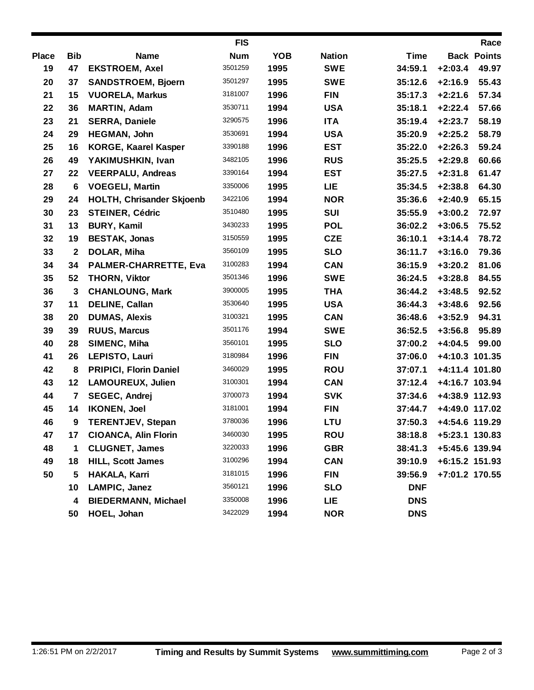|              |              |                                  | <b>FIS</b> |            |               |             |                | Race               |
|--------------|--------------|----------------------------------|------------|------------|---------------|-------------|----------------|--------------------|
| <b>Place</b> | <b>Bib</b>   | <b>Name</b>                      | <b>Num</b> | <b>YOB</b> | <b>Nation</b> | <b>Time</b> |                | <b>Back Points</b> |
| 19           | 47           | <b>EKSTROEM, Axel</b>            | 3501259    | 1995       | <b>SWE</b>    | 34:59.1     | $+2:03.4$      | 49.97              |
| 20           | 37           | <b>SANDSTROEM, Bjoern</b>        | 3501297    | 1995       | <b>SWE</b>    | 35:12.6     | $+2:16.9$      | 55.43              |
| 21           | 15           | <b>VUORELA, Markus</b>           | 3181007    | 1996       | <b>FIN</b>    | 35:17.3     | $+2:21.6$      | 57.34              |
| 22           | 36           | <b>MARTIN, Adam</b>              | 3530711    | 1994       | <b>USA</b>    | 35:18.1     | $+2:22.4$      | 57.66              |
| 23           | 21           | <b>SERRA, Daniele</b>            | 3290575    | 1996       | <b>ITA</b>    | 35:19.4     | $+2:23.7$      | 58.19              |
| 24           | 29           | HEGMAN, John                     | 3530691    | 1994       | <b>USA</b>    | 35:20.9     | $+2:25.2$      | 58.79              |
| 25           | 16           | <b>KORGE, Kaarel Kasper</b>      | 3390188    | 1996       | <b>EST</b>    | 35:22.0     | $+2:26.3$      | 59.24              |
| 26           | 49           | YAKIMUSHKIN, Ivan                | 3482105    | 1996       | <b>RUS</b>    | 35:25.5     | $+2:29.8$      | 60.66              |
| 27           | 22           | <b>VEERPALU, Andreas</b>         | 3390164    | 1994       | <b>EST</b>    | 35:27.5     | $+2:31.8$      | 61.47              |
| 28           | 6            | <b>VOEGELI, Martin</b>           | 3350006    | 1995       | <b>LIE</b>    | 35:34.5     | $+2:38.8$      | 64.30              |
| 29           | 24           | <b>HOLTH, Chrisander Skjoenb</b> | 3422106    | 1994       | <b>NOR</b>    | 35:36.6     | $+2:40.9$      | 65.15              |
| 30           | 23           | <b>STEINER, Cédric</b>           | 3510480    | 1995       | <b>SUI</b>    | 35:55.9     | $+3:00.2$      | 72.97              |
| 31           | 13           | <b>BURY, Kamil</b>               | 3430233    | 1995       | <b>POL</b>    | 36:02.2     | $+3:06.5$      | 75.52              |
| 32           | 19           | <b>BESTAK, Jonas</b>             | 3150559    | 1995       | <b>CZE</b>    | 36:10.1     | $+3:14.4$      | 78.72              |
| 33           | $\mathbf 2$  | DOLAR, Miha                      | 3560109    | 1995       | <b>SLO</b>    | 36:11.7     | $+3:16.0$      | 79.36              |
| 34           | 34           | PALMER-CHARRETTE, Eva            | 3100283    | 1994       | <b>CAN</b>    | 36:15.9     | $+3:20.2$      | 81.06              |
| 35           | 52           | <b>THORN, Viktor</b>             | 3501346    | 1996       | <b>SWE</b>    | 36:24.5     | $+3:28.8$      | 84.55              |
| 36           | $\mathbf{3}$ | <b>CHANLOUNG, Mark</b>           | 3900005    | 1995       | <b>THA</b>    | 36:44.2     | $+3:48.5$      | 92.52              |
| 37           | 11           | <b>DELINE, Callan</b>            | 3530640    | 1995       | <b>USA</b>    | 36:44.3     | $+3:48.6$      | 92.56              |
| 38           | 20           | <b>DUMAS, Alexis</b>             | 3100321    | 1995       | <b>CAN</b>    | 36:48.6     | $+3:52.9$      | 94.31              |
| 39           | 39           | <b>RUUS, Marcus</b>              | 3501176    | 1994       | <b>SWE</b>    | 36:52.5     | $+3:56.8$      | 95.89              |
| 40           | 28           | SIMENC, Miha                     | 3560101    | 1995       | <b>SLO</b>    | 37:00.2     | $+4:04.5$      | 99.00              |
| 41           | 26           | LEPISTO, Lauri                   | 3180984    | 1996       | <b>FIN</b>    | 37:06.0     | +4:10.3 101.35 |                    |
| 42           | 8            | <b>PRIPICI, Florin Daniel</b>    | 3460029    | 1995       | <b>ROU</b>    | 37:07.1     | +4:11.4 101.80 |                    |
| 43           | 12           | <b>LAMOUREUX, Julien</b>         | 3100301    | 1994       | <b>CAN</b>    | 37:12.4     | +4:16.7 103.94 |                    |
| 44           | 7            | <b>SEGEC, Andrej</b>             | 3700073    | 1994       | <b>SVK</b>    | 37:34.6     | +4:38.9 112.93 |                    |
| 45           | 14           | <b>IKONEN, Joel</b>              | 3181001    | 1994       | <b>FIN</b>    | 37:44.7     | +4:49.0 117.02 |                    |
| 46           | 9            | <b>TERENTJEV, Stepan</b>         | 3780036    | 1996       | <b>LTU</b>    | 37:50.3     | +4:54.6 119.29 |                    |
| 47           | 17           | <b>CIOANCA, Alin Florin</b>      | 3460030    | 1995       | <b>ROU</b>    | 38:18.8     | +5:23.1 130.83 |                    |
| 48           | 1            | <b>CLUGNET, James</b>            | 3220033    | 1996       | <b>GBR</b>    | 38:41.3     | +5:45.6 139.94 |                    |
| 49           | 18           | <b>HILL, Scott James</b>         | 3100296    | 1994       | <b>CAN</b>    | 39:10.9     | +6:15.2 151.93 |                    |
| 50           | 5            | HAKALA, Karri                    | 3181015    | 1996       | <b>FIN</b>    | 39:56.9     | +7:01.2 170.55 |                    |
|              | 10           | LAMPIC, Janez                    | 3560121    | 1996       | <b>SLO</b>    | <b>DNF</b>  |                |                    |
|              | 4            | <b>BIEDERMANN, Michael</b>       | 3350008    | 1996       | <b>LIE</b>    | <b>DNS</b>  |                |                    |
|              | 50           | HOEL, Johan                      | 3422029    | 1994       | <b>NOR</b>    | <b>DNS</b>  |                |                    |